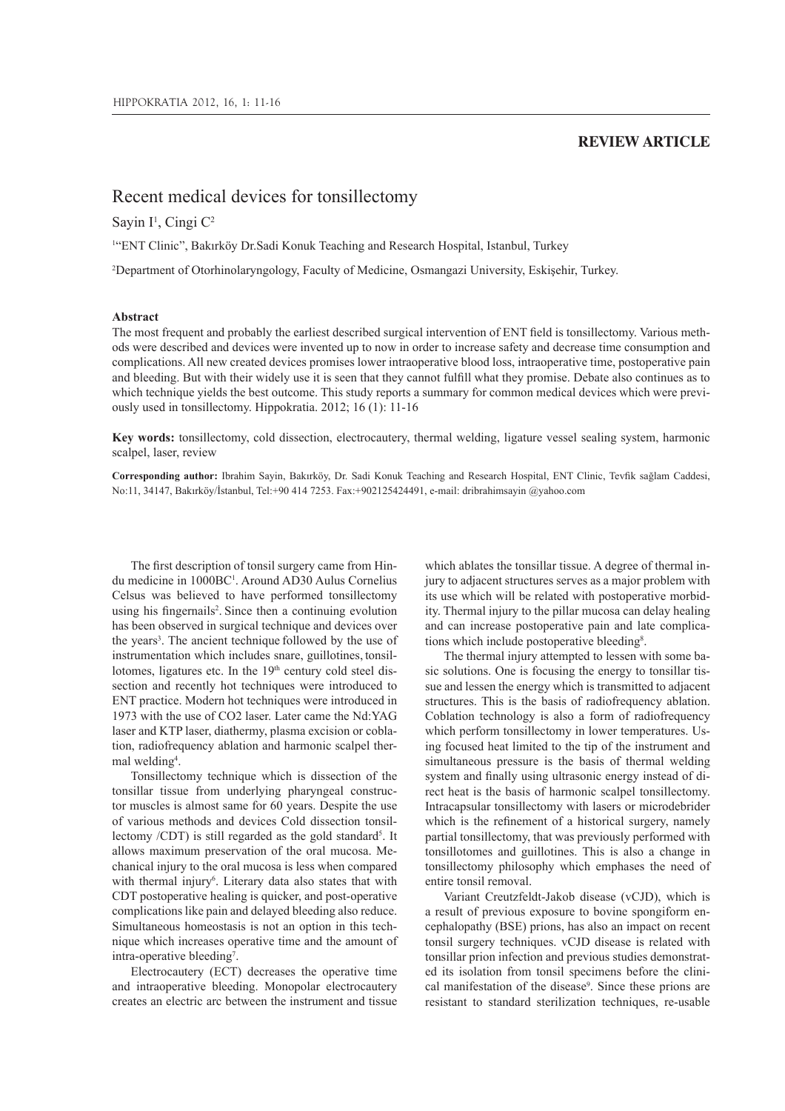# **REVIEW ARTICLE**

# Recent medical devices for tonsillectomy

# Sayin I<sup>1</sup>, Cingi C<sup>2</sup>

<sup>1</sup>"ENT Clinic", Bakırköy Dr. Sadi Konuk Teaching and Research Hospital, Istanbul, Turkey

<sup>2</sup>Department of Otorhinolaryngology, Faculty of Medicine, Osmangazi University, Eskişehir, Turkey.

# **Abstract**

The most frequent and probably the earliest described surgical intervention of ENT field is tonsillectomy. Various methods were described and devices were invented up to now in order to increase safety and decrease time consumption and complications. All new created devices promises lower intraoperative blood loss, intraoperative time, postoperative pain and bleeding. But with their widely use it is seen that they cannot fulfill what they promise. Debate also continues as to which technique yields the best outcome. This study reports a summary for common medical devices which were previously used in tonsillectomy. Hippokratia. 2012; 16 (1): 11-16

**Key words:** tonsillectomy, cold dissection, electrocautery, thermal welding, ligature vessel sealing system, harmonic scalpel, laser, review

**Corresponding author:** Ibrahim Sayin, Bakırköy, Dr. Sadi Konuk Teaching and Research Hospital, ENT Clinic, Tevfik sağlam Caddesi, No:11, 34147, Bakırköy/İstanbul, Tel:+90 414 7253. Fax:+902125424491, e-mail: dribrahimsayin @yahoo.com

The first description of tonsil surgery came from Hindu medicine in 1000BC<sup>1</sup> . Around AD30 Aulus Cornelius Celsus was believed to have performed tonsillectomy using his fingernails<sup>2</sup>. Since then a continuing evolution has been observed in surgical technique and devices over the years<sup>3</sup>. The ancient technique followed by the use of instrumentation which includes snare, guillotines, tonsillotomes, ligatures etc. In the 19<sup>th</sup> century cold steel dissection and recently hot techniques were introduced to ENT practice. Modern hot techniques were introduced in 1973 with the use of CO2 laser. Later came the Nd:YAG laser and KTP laser, diathermy, plasma excision or coblation, radiofrequency ablation and harmonic scalpel thermal welding<sup>4</sup>.

Tonsillectomy technique which is dissection of the tonsillar tissue from underlying pharyngeal constructor muscles is almost same for 60 years. Despite the use of various methods and devices Cold dissection tonsillectomy /CDT) is still regarded as the gold standard<sup>5</sup>. It allows maximum preservation of the oral mucosa. Mechanical injury to the oral mucosa is less when compared with thermal injury<sup>6</sup>. Literary data also states that with CDT postoperative healing is quicker, and post-operative complications like pain and delayed bleeding also reduce. Simultaneous homeostasis is not an option in this technique which increases operative time and the amount of intra-operative bleeding<sup>7</sup>.

Electrocautery (ECT) decreases the operative time and intraoperative bleeding. Monopolar electrocautery creates an electric arc between the instrument and tissue

which ablates the tonsillar tissue. A degree of thermal injury to adjacent structures serves as a major problem with its use which will be related with postoperative morbidity. Thermal injury to the pillar mucosa can delay healing and can increase postoperative pain and late complications which include postoperative bleeding<sup>8</sup>.

The thermal injury attempted to lessen with some basic solutions. One is focusing the energy to tonsillar tissue and lessen the energy which is transmitted to adjacent structures. This is the basis of radiofrequency ablation. Coblation technology is also a form of radiofrequency which perform tonsillectomy in lower temperatures. Using focused heat limited to the tip of the instrument and simultaneous pressure is the basis of thermal welding system and finally using ultrasonic energy instead of direct heat is the basis of harmonic scalpel tonsillectomy. Intracapsular tonsillectomy with lasers or microdebrider which is the refinement of a historical surgery, namely partial tonsillectomy, that was previously performed with tonsillotomes and guillotines. This is also a change in tonsillectomy philosophy which emphases the need of entire tonsil removal.

Variant Creutzfeldt-Jakob disease (vCJD), which is a result of previous exposure to bovine spongiform encephalopathy (BSE) prions, has also an impact on recent tonsil surgery techniques. vCJD disease is related with tonsillar prion infection and previous studies demonstrated its isolation from tonsil specimens before the clinical manifestation of the disease<sup>9</sup>. Since these prions are resistant to standard sterilization techniques, re-usable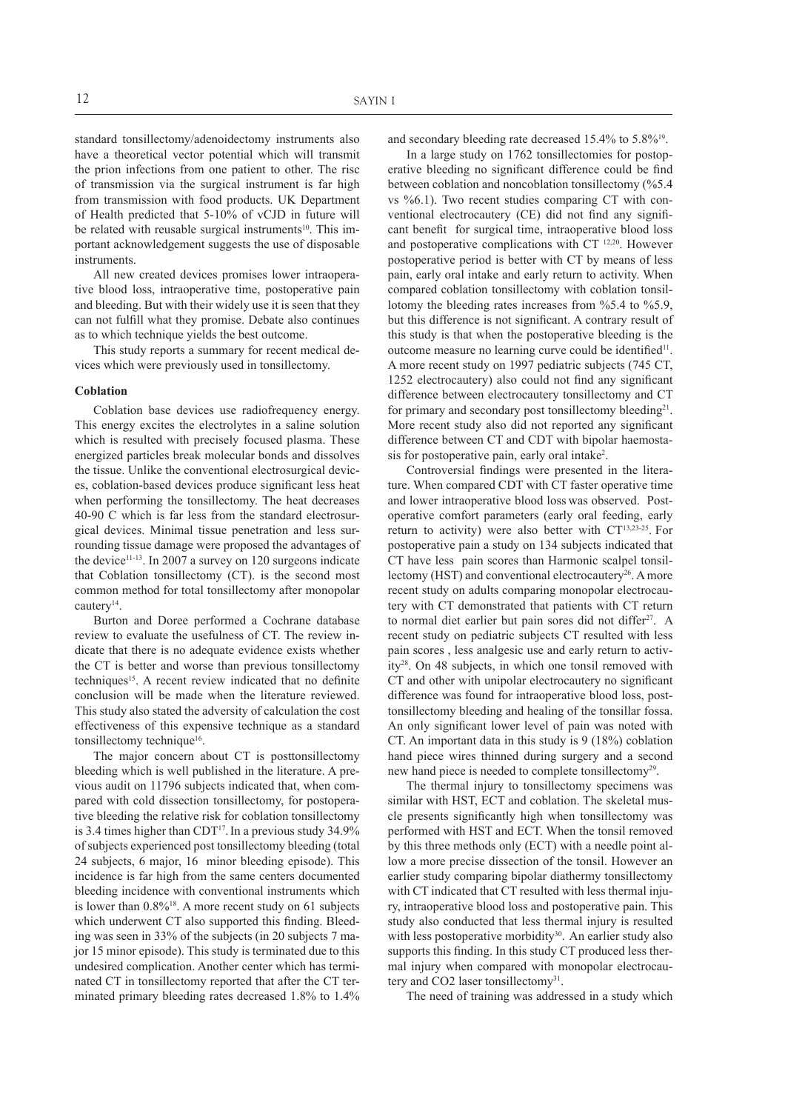standard tonsillectomy/adenoidectomy instruments also have a theoretical vector potential which will transmit the prion infections from one patient to other. The risc of transmission via the surgical instrument is far high from transmission with food products. UK Department of Health predicted that 5-10% of vCJD in future will be related with reusable surgical instruments<sup>10</sup>. This important acknowledgement suggests the use of disposable instruments.

All new created devices promises lower intraoperative blood loss, intraoperative time, postoperative pain and bleeding. But with their widely use it is seen that they can not fulfill what they promise. Debate also continues as to which technique yields the best outcome.

This study reports a summary for recent medical devices which were previously used in tonsillectomy.

#### **Coblation**

Coblation base devices use radiofrequency energy. This energy excites the electrolytes in a saline solution which is resulted with precisely focused plasma. These energized particles break molecular bonds and dissolves the tissue. Unlike the conventional electrosurgical devices, coblation-based devices produce significant less heat when performing the tonsillectomy. The heat decreases 40-90 C which is far less from the standard electrosurgical devices. Minimal tissue penetration and less surrounding tissue damage were proposed the advantages of the device<sup>11-13</sup>. In 2007 a survey on 120 surgeons indicate that Coblation tonsillectomy (CT). is the second most common method for total tonsillectomy after monopolar cautery<sup>14</sup>.

Burton and Doree performed a Cochrane database review to evaluate the usefulness of CT. The review indicate that there is no adequate evidence exists whether the CT is better and worse than previous tonsillectomy techniques<sup>15</sup>. A recent review indicated that no definite conclusion will be made when the literature reviewed. This study also stated the adversity of calculation the cost effectiveness of this expensive technique as a standard tonsillectomy technique<sup>16</sup>.

The major concern about CT is posttonsillectomy bleeding which is well published in the literature. A previous audit on 11796 subjects indicated that, when compared with cold dissection tonsillectomy, for postoperative bleeding the relative risk for coblation tonsillectomy is 3.4 times higher than CDT $17$ . In a previous study 34.9% of subjects experienced post tonsillectomy bleeding (total 24 subjects, 6 major, 16 minor bleeding episode). This incidence is far high from the same centers documented bleeding incidence with conventional instruments which is lower than  $0.8\%$ <sup>18</sup>. A more recent study on 61 subjects which underwent CT also supported this finding. Bleeding was seen in 33% of the subjects (in 20 subjects 7 major 15 minor episode). This study is terminated due to this undesired complication. Another center which has terminated CT in tonsillectomy reported that after the CT terminated primary bleeding rates decreased 1.8% to 1.4%

and secondary bleeding rate decreased 15.4% to 5.8%<sup>19</sup> .

In a large study on 1762 tonsillectomies for postoperative bleeding no significant difference could be find between coblation and noncoblation tonsillectomy (%5.4 vs %6.1). Two recent studies comparing CT with conventional electrocautery (CE) did not find any significant benefit for surgical time, intraoperative blood loss and postoperative complications with CT 12,20. However postoperative period is better with CT by means of less pain, early oral intake and early return to activity. When compared coblation tonsillectomy with coblation tonsillotomy the bleeding rates increases from %5.4 to %5.9, but this difference is not significant. A contrary result of this study is that when the postoperative bleeding is the outcome measure no learning curve could be identified<sup>11</sup>. A more recent study on 1997 pediatric subjects (745 CT, 1252 electrocautery) also could not find any significant difference between electrocautery tonsillectomy and CT for primary and secondary post tonsillectomy bleeding<sup>21</sup>. More recent study also did not reported any significant difference between CT and CDT with bipolar haemostasis for postoperative pain, early oral intake<sup>2</sup>.

Controversial findings were presented in the literature. When compared CDT with CT faster operative time and lower intraoperative blood loss was observed. Postoperative comfort parameters (early oral feeding, early return to activity) were also better with  $CT^{13,23-25}$ . For postoperative pain a study on 134 subjects indicated that CT have less pain scores than Harmonic scalpel tonsillectomy (HST) and conventional electrocautery<sup>26</sup>. A more recent study on adults comparing monopolar electrocautery with CT demonstrated that patients with CT return to normal diet earlier but pain sores did not differ<sup>27</sup>. A recent study on pediatric subjects CT resulted with less pain scores , less analgesic use and early return to activity<sup>28</sup>. On 48 subjects, in which one tonsil removed with CT and other with unipolar electrocautery no significant difference was found for intraoperative blood loss, posttonsillectomy bleeding and healing of the tonsillar fossa. An only significant lower level of pain was noted with CT. An important data in this study is 9 (18%) coblation hand piece wires thinned during surgery and a second new hand piece is needed to complete tonsillectomy<sup>29</sup>.

The thermal injury to tonsillectomy specimens was similar with HST, ECT and coblation. The skeletal muscle presents significantly high when tonsillectomy was performed with HST and ECT. When the tonsil removed by this three methods only (ECT) with a needle point allow a more precise dissection of the tonsil. However an earlier study comparing bipolar diathermy tonsillectomy with CT indicated that CT resulted with less thermal injury, intraoperative blood loss and postoperative pain. This study also conducted that less thermal injury is resulted with less postoperative morbidity<sup>30</sup>. An earlier study also supports this finding. In this study CT produced less thermal injury when compared with monopolar electrocautery and CO2 laser tonsillectomy<sup>31</sup>.

The need of training was addressed in a study which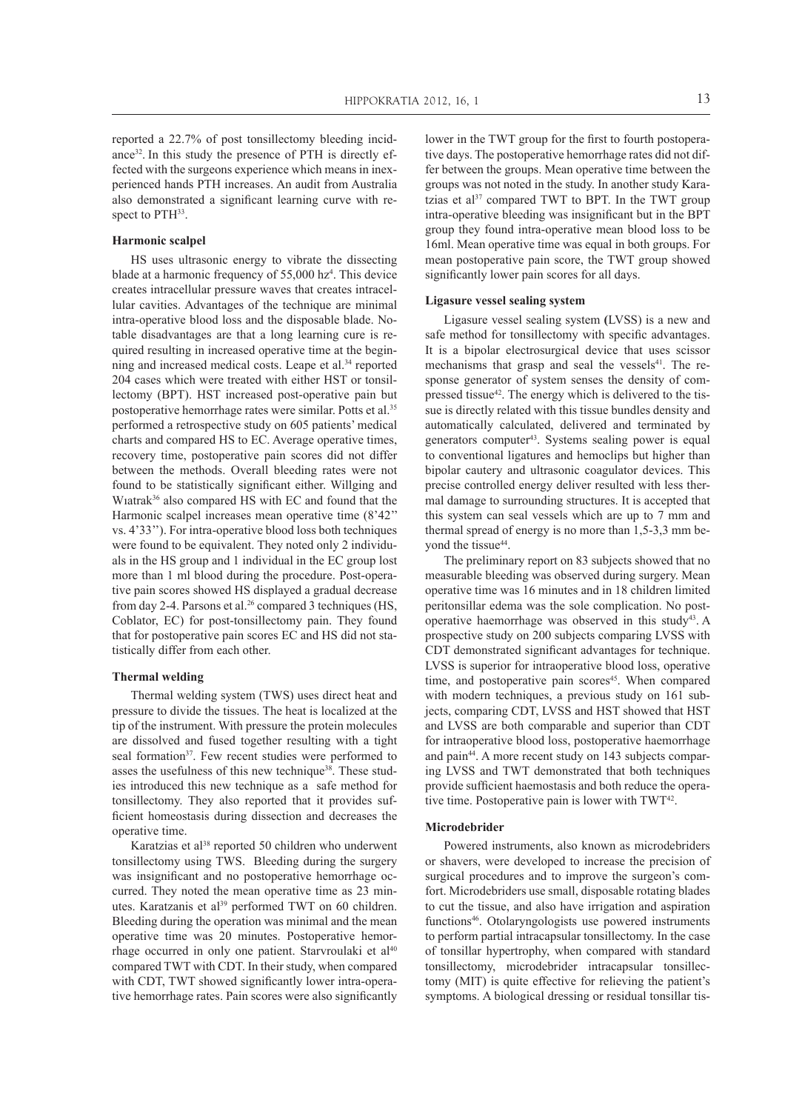reported a 22.7% of post tonsillectomy bleeding incidance<sup>32</sup>. In this study the presence of PTH is directly effected with the surgeons experience which means in inexperienced hands PTH increases. An audit from Australia also demonstrated a significant learning curve with respect to PTH<sup>33</sup>.

## **Harmonic scalpel**

HS uses ultrasonic energy to vibrate the dissecting blade at a harmonic frequency of  $55,000$  hz<sup>4</sup>. This device creates intracellular pressure waves that creates intracellular cavities. Advantages of the technique are minimal intra-operative blood loss and the disposable blade. Notable disadvantages are that a long learning cure is required resulting in increased operative time at the beginning and increased medical costs. Leape et al.<sup>34</sup> reported 204 cases which were treated with either HST or tonsillectomy (BPT). HST increased post-operative pain but postoperative hemorrhage rates were similar. Potts et al.<sup>35</sup> performed a retrospective study on 605 patients' medical charts and compared HS to EC. Average operative times, recovery time, postoperative pain scores did not differ between the methods. Overall bleeding rates were not found to be statistically significant either. Willging and Wıatrak<sup>36</sup> also compared HS with EC and found that the Harmonic scalpel increases mean operative time (8'42'' vs. 4'33''). For intra-operative blood loss both techniques were found to be equivalent. They noted only 2 individuals in the HS group and 1 individual in the EC group lost more than 1 ml blood during the procedure. Post-operative pain scores showed HS displayed a gradual decrease from day 2-4. Parsons et al.<sup>26</sup> compared 3 techniques (HS, Coblator, EC) for post-tonsillectomy pain. They found that for postoperative pain scores EC and HS did not statistically differ from each other.

#### **Thermal welding**

Thermal welding system (TWS) uses direct heat and pressure to divide the tissues. The heat is localized at the tip of the instrument. With pressure the protein molecules are dissolved and fused together resulting with a tight seal formation<sup>37</sup>. Few recent studies were performed to asses the usefulness of this new technique<sup>38</sup>. These studies introduced this new technique as a safe method for tonsillectomy. They also reported that it provides sufficient homeostasis during dissection and decreases the operative time.

Karatzias et al<sup>38</sup> reported 50 children who underwent tonsillectomy using TWS. Bleeding during the surgery was insignificant and no postoperative hemorrhage occurred. They noted the mean operative time as 23 minutes. Karatzanis et al<sup>39</sup> performed TWT on 60 children. Bleeding during the operation was minimal and the mean operative time was 20 minutes. Postoperative hemorrhage occurred in only one patient. Starvroulaki et al<sup>40</sup> compared TWT with CDT. In their study, when compared with CDT, TWT showed significantly lower intra-operative hemorrhage rates. Pain scores were also significantly lower in the TWT group for the first to fourth postoperative days. The postoperative hemorrhage rates did not differ between the groups. Mean operative time between the groups was not noted in the study. In another study Karatzias et al<sup>37</sup> compared TWT to BPT. In the TWT group intra-operative bleeding was insignificant but in the BPT group they found intra-operative mean blood loss to be 16ml. Mean operative time was equal in both groups. For mean postoperative pain score, the TWT group showed significantly lower pain scores for all days.

## **Ligasure vessel sealing system**

Ligasure vessel sealing system **(**LVSS) is a new and safe method for tonsillectomy with specific advantages. It is a bipolar electrosurgical device that uses scissor mechanisms that grasp and seal the vessels<sup>41</sup>. The response generator of system senses the density of compressed tissue<sup>42</sup>. The energy which is delivered to the tissue is directly related with this tissue bundles density and automatically calculated, delivered and terminated by generators computer<sup>43</sup>. Systems sealing power is equal to conventional ligatures and hemoclips but higher than bipolar cautery and ultrasonic coagulator devices. This precise controlled energy deliver resulted with less thermal damage to surrounding structures. It is accepted that this system can seal vessels which are up to 7 mm and thermal spread of energy is no more than 1,5-3,3 mm beyond the tissue<sup>44</sup>.

The preliminary report on 83 subjects showed that no measurable bleeding was observed during surgery. Mean operative time was 16 minutes and in 18 children limited peritonsillar edema was the sole complication. No postoperative haemorrhage was observed in this study<sup>43</sup>. A prospective study on 200 subjects comparing LVSS with CDT demonstrated significant advantages for technique. LVSS is superior for intraoperative blood loss, operative time, and postoperative pain scores<sup>45</sup>. When compared with modern techniques, a previous study on 161 subjects, comparing CDT, LVSS and HST showed that HST and LVSS are both comparable and superior than CDT for intraoperative blood loss, postoperative haemorrhage and pain<sup>44</sup>. A more recent study on 143 subjects comparing LVSS and TWT demonstrated that both techniques provide sufficient haemostasis and both reduce the operative time. Postoperative pain is lower with TWT<sup>42</sup>.

#### **Microdebrider**

Powered instruments, also known as microdebriders or shavers, were developed to increase the precision of surgical procedures and to improve the surgeon's comfort. Microdebriders use small, disposable rotating blades to cut the tissue, and also have irrigation and aspiration functions<sup>46</sup>. Otolaryngologists use powered instruments to perform partial intracapsular tonsillectomy. In the case of tonsillar hypertrophy, when compared with standard tonsillectomy, microdebrider intracapsular tonsillectomy (MIT) is quite effective for relieving the patient's symptoms. A biological dressing or residual tonsillar tis-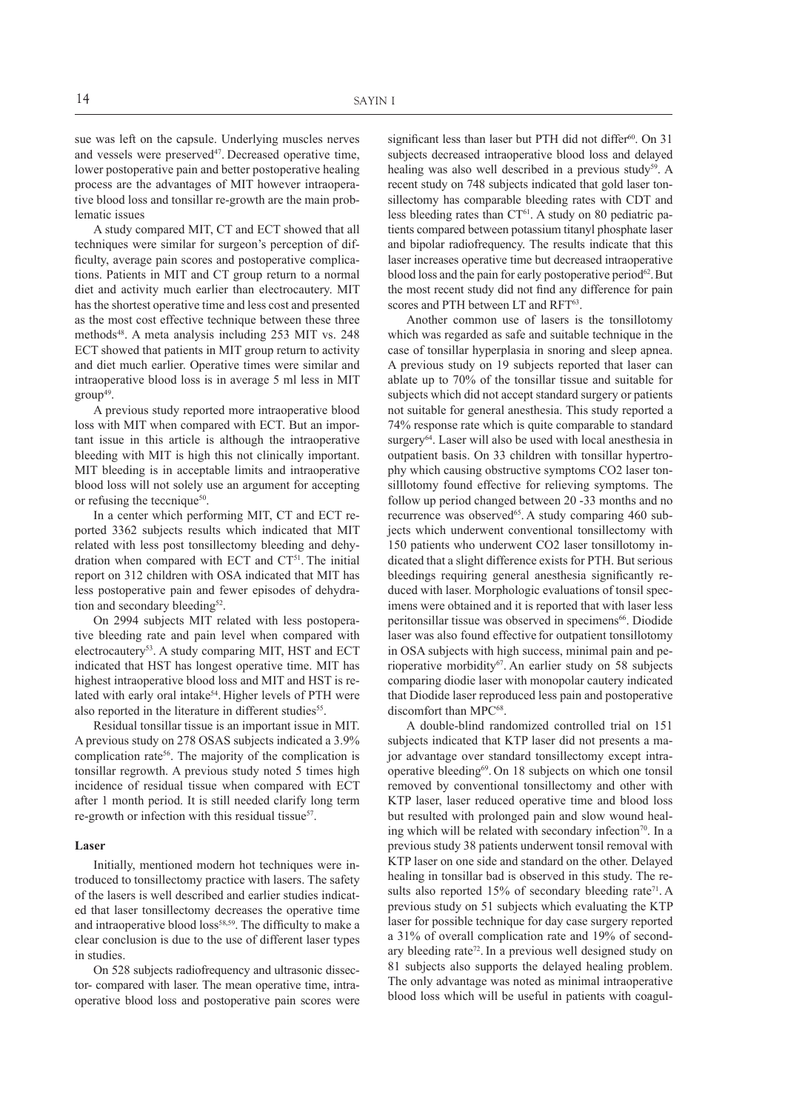sue was left on the capsule. Underlying muscles nerves and vessels were preserved<sup>47</sup>. Decreased operative time, lower postoperative pain and better postoperative healing process are the advantages of MIT however intraoperative blood loss and tonsillar re-growth are the main problematic issues

A study compared MIT, CT and ECT showed that all techniques were similar for surgeon's perception of difficulty, average pain scores and postoperative complications. Patients in MIT and CT group return to a normal diet and activity much earlier than electrocautery. MIT has the shortest operative time and less cost and presented as the most cost effective technique between these three methods<sup>48</sup>. A meta analysis including 253 MIT vs. 248 ECT showed that patients in MIT group return to activity and diet much earlier. Operative times were similar and intraoperative blood loss is in average 5 ml less in MIT group<sup>49</sup> .

A previous study reported more intraoperative blood loss with MIT when compared with ECT. But an important issue in this article is although the intraoperative bleeding with MIT is high this not clinically important. MIT bleeding is in acceptable limits and intraoperative blood loss will not solely use an argument for accepting or refusing the teccnique<sup>50</sup>.

In a center which performing MIT, CT and ECT reported 3362 subjects results which indicated that MIT related with less post tonsillectomy bleeding and dehydration when compared with ECT and CT<sup>51</sup> . The initial report on 312 children with OSA indicated that MIT has less postoperative pain and fewer episodes of dehydration and secondary bleeding<sup>52</sup>.

On 2994 subjects MIT related with less postoperative bleeding rate and pain level when compared with electrocautery<sup>53</sup>. A study comparing MIT, HST and ECT indicated that HST has longest operative time. MIT has highest intraoperative blood loss and MIT and HST is related with early oral intake<sup>54</sup>. Higher levels of PTH were also reported in the literature in different studies<sup>55</sup>.

Residual tonsillar tissue is an important issue in MIT. A previous study on 278 OSAS subjects indicated a 3.9% complication rate<sup>56</sup>. The majority of the complication is tonsillar regrowth. A previous study noted 5 times high incidence of residual tissue when compared with ECT after 1 month period. It is still needed clarify long term re-growth or infection with this residual tissue<sup>57</sup>.

### **Laser**

Initially, mentioned modern hot techniques were introduced to tonsillectomy practice with lasers. The safety of the lasers is well described and earlier studies indicated that laser tonsillectomy decreases the operative time and intraoperative blood loss<sup>58,59</sup>. The difficulty to make a clear conclusion is due to the use of different laser types in studies.

On 528 subjects radiofrequency and ultrasonic dissector- compared with laser. The mean operative time, intraoperative blood loss and postoperative pain scores were significant less than laser but PTH did not differ<sup>60</sup>. On 31 subjects decreased intraoperative blood loss and delayed healing was also well described in a previous study<sup>59</sup>. A recent study on 748 subjects indicated that gold laser tonsillectomy has comparable bleeding rates with CDT and less bleeding rates than  $CT^{61}$ . A study on 80 pediatric patients compared between potassium titanyl phosphate laser and bipolar radiofrequency. The results indicate that this laser increases operative time but decreased intraoperative blood loss and the pain for early postoperative period<sup>62</sup>. But the most recent study did not find any difference for pain scores and PTH between LT and RFT<sup>63</sup>.

Another common use of lasers is the tonsillotomy which was regarded as safe and suitable technique in the case of tonsillar hyperplasia in snoring and sleep apnea. A previous study on 19 subjects reported that laser can ablate up to 70% of the tonsillar tissue and suitable for subjects which did not accept standard surgery or patients not suitable for general anesthesia. This study reported a 74% response rate which is quite comparable to standard surgery<sup>64</sup>. Laser will also be used with local anesthesia in outpatient basis. On 33 children with tonsillar hypertrophy which causing obstructive symptoms CO2 laser tonsilllotomy found effective for relieving symptoms. The follow up period changed between 20 -33 months and no recurrence was observed<sup>65</sup>. A study comparing 460 subjects which underwent conventional tonsillectomy with 150 patients who underwent CO2 laser tonsillotomy indicated that a slight difference exists for PTH. But serious bleedings requiring general anesthesia significantly reduced with laser. Morphologic evaluations of tonsil specimens were obtained and it is reported that with laser less peritonsillar tissue was observed in specimens<sup>66</sup>. Diodide laser was also found effective for outpatient tonsillotomy in OSA subjects with high success, minimal pain and perioperative morbidity<sup>67</sup>. An earlier study on 58 subjects comparing diodie laser with monopolar cautery indicated that Diodide laser reproduced less pain and postoperative discomfort than MPC<sup>68</sup>.

A double-blind randomized controlled trial on 151 subjects indicated that KTP laser did not presents a major advantage over standard tonsillectomy except intraoperative bleeding<sup>69</sup> . On 18 subjects on which one tonsil removed by conventional tonsillectomy and other with KTP laser, laser reduced operative time and blood loss but resulted with prolonged pain and slow wound healing which will be related with secondary infection<sup>70</sup>. In a previous study 38 patients underwent tonsil removal with KTP laser on one side and standard on the other. Delayed healing in tonsillar bad is observed in this study. The results also reported  $15\%$  of secondary bleeding rate<sup>71</sup>. A previous study on 51 subjects which evaluating the KTP laser for possible technique for day case surgery reported a 31% of overall complication rate and 19% of secondary bleeding rate<sup>72</sup>. In a previous well designed study on 81 subjects also supports the delayed healing problem. The only advantage was noted as minimal intraoperative blood loss which will be useful in patients with coagul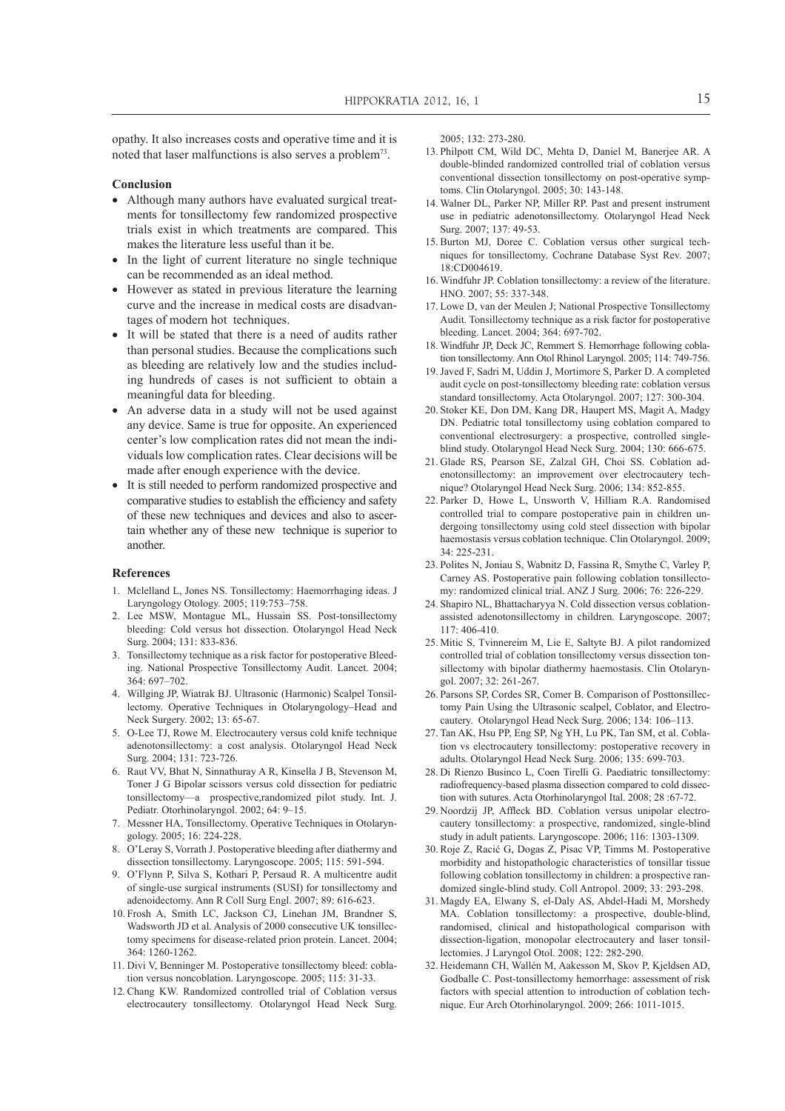opathy. It also increases costs and operative time and it is noted that laser malfunctions is also serves a problem<sup>73</sup>.

#### **Conclusion**

- Although many authors have evaluated surgical treatments for tonsillectomy few randomized prospective trials exist in which treatments are compared. This makes the literature less useful than it be.
- In the light of current literature no single technique can be recommended as an ideal method.
- However as stated in previous literature the learning curve and the increase in medical costs are disadvantages of modern hot techniques.
- It will be stated that there is a need of audits rather than personal studies. Because the complications such as bleeding are relatively low and the studies including hundreds of cases is not sufficient to obtain a meaningful data for bleeding.
- An adverse data in a study will not be used against any device. Same is true for opposite. An experienced center's low complication rates did not mean the individuals low complication rates. Clear decisions will be made after enough experience with the device.
- It is still needed to perform randomized prospective and comparative studies to establish the efficiency and safety of these new techniques and devices and also to ascertain whether any of these new technique is superior to another.

#### **References**

- 1. Mclelland L, Jones NS. Tonsillectomy: Haemorrhaging ideas. J Laryngology Otology. 2005; 119:753–758.
- 2. Lee MSW, Montague ML, Hussain SS. Post-tonsillectomy bleeding: Cold versus hot dissection. Otolaryngol Head Neck Surg. 2004; 131: 833-836.
- 3. Tonsillectomy technique as a risk factor for postoperative Bleeding. National Prospective Tonsillectomy Audit. Lancet. 2004; 364: 697–702.
- 4. Willging JP, Wiatrak BJ. Ultrasonic (Harmonic) Scalpel Tonsillectomy. Operative Techniques in Otolaryngology–Head and Neck Surgery. 2002; 13: 65-67.
- 5. O-Lee TJ, Rowe M. Electrocautery versus cold knife technique adenotonsillectomy: a cost analysis. Otolaryngol Head Neck Surg. 2004; 131: 723-726.
- 6. Raut VV, Bhat N, Sinnathuray A R, Kinsella J B, Stevenson M, Toner J G Bipolar scissors versus cold dissection for pediatric tonsillectomy—a prospective,randomized pilot study. Int. J. Pediatr. Otorhinolaryngol. 2002; 64: 9–15.
- 7. Messner HA, Tonsillectomy. Operative Techniques in Otolaryngology. 2005; 16: 224-228.
- 8. O'Leray S, Vorrath J. Postoperative bleeding after diathermy and dissection tonsillectomy. Laryngoscope. 2005; 115: 591-594.
- 9. O'Flynn P, Silva S, Kothari P, Persaud R. A multicentre audit of single-use surgical instruments (SUSI) for tonsillectomy and adenoidectomy. Ann R Coll Surg Engl. 2007; 89: 616-623.
- 10. Frosh A, Smith LC, Jackson CJ, Linehan JM, Brandner S, Wadsworth JD et al. Analysis of 2000 consecutive UK tonsillectomy specimens for disease-related prion protein. Lancet. 2004; 364: 1260-1262.
- 11. Divi V, Benninger M. Postoperative tonsillectomy bleed: coblation versus noncoblation. Laryngoscope. 2005; 115: 31-33.
- 12. Chang KW. Randomized controlled trial of Coblation versus electrocautery tonsillectomy. Otolaryngol Head Neck Surg.

2005; 132: 273-280.

- 13. Philpott CM, Wild DC, Mehta D, Daniel M, Banerjee AR. A double-blinded randomized controlled trial of coblation versus conventional dissection tonsillectomy on post-operative symptoms. Clin Otolaryngol. 2005; 30: 143-148.
- 14. Walner DL, Parker NP, Miller RP. Past and present instrument use in pediatric adenotonsillectomy. Otolaryngol Head Neck Surg. 2007; 137: 49-53.
- 15. Burton MJ, Doree C. Coblation versus other surgical techniques for tonsillectomy. Cochrane Database Syst Rev. 2007; 18:CD004619.
- 16. Windfuhr JP. Coblation tonsillectomy: a review of the literature. HNO. 2007; 55: 337-348.
- 17. Lowe D, van der Meulen J; National Prospective Tonsillectomy Audit. Tonsillectomy technique as a risk factor for postoperative bleeding. Lancet. 2004; 364: 697-702.
- 18. Windfuhr JP, Deck JC, Remmert S. Hemorrhage following coblation tonsillectomy. Ann Otol Rhinol Laryngol. 2005; 114: 749-756.
- 19. Javed F, Sadri M, Uddin J, Mortimore S, Parker D. A completed audit cycle on post-tonsillectomy bleeding rate: coblation versus standard tonsillectomy. Acta Otolaryngol. 2007; 127: 300-304.
- 20. Stoker KE, Don DM, Kang DR, Haupert MS, Magit A, Madgy DN. Pediatric total tonsillectomy using coblation compared to conventional electrosurgery: a prospective, controlled singleblind study. Otolaryngol Head Neck Surg. 2004; 130: 666-675.
- 21. Glade RS, Pearson SE, Zalzal GH, Choi SS. Coblation adenotonsillectomy: an improvement over electrocautery technique? Otolaryngol Head Neck Surg. 2006; 134: 852-855.
- 22. Parker D, Howe L, Unsworth V, Hilliam R.A. Randomised controlled trial to compare postoperative pain in children undergoing tonsillectomy using cold steel dissection with bipolar haemostasis versus coblation technique. Clin Otolaryngol. 2009; 34: 225-231.
- 23. Polites N, Joniau S, Wabnitz D, Fassina R, Smythe C, Varley P, Carney AS. Postoperative pain following coblation tonsillectomy: randomized clinical trial. ANZ J Surg. 2006; 76: 226-229.
- 24. Shapiro NL, Bhattacharyya N. Cold dissection versus coblationassisted adenotonsillectomy in children. Laryngoscope. 2007; 117: 406-410.
- 25. Mitic S, Tvinnereim M, Lie E, Saltyte BJ. A pilot randomized controlled trial of coblation tonsillectomy versus dissection tonsillectomy with bipolar diathermy haemostasis. Clin Otolaryngol. 2007; 32: 261-267.
- 26. Parsons SP, Cordes SR, Comer B. Comparison of Posttonsillectomy Pain Using the Ultrasonic scalpel, Coblator, and Electrocautery. Otolaryngol Head Neck Surg. 2006; 134: 106–113.
- 27. Tan AK, Hsu PP, Eng SP, Ng YH, Lu PK, Tan SM, et al. Coblation vs electrocautery tonsillectomy: postoperative recovery in adults. Otolaryngol Head Neck Surg. 2006; 135: 699-703.
- 28. Di Rienzo Businco L, Coen Tirelli G. Paediatric tonsillectomy: radiofrequency-based plasma dissection compared to cold dissection with sutures. Acta Otorhinolaryngol Ital. 2008; 28 :67-72.
- 29. Noordzij JP, Affleck BD. Coblation versus unipolar electrocautery tonsillectomy: a prospective, randomized, single-blind study in adult patients. Laryngoscope. 2006; 116: 1303-1309.
- 30. Roje Z, Racić G, Dogas Z, Pisac VP, Timms M. Postoperative morbidity and histopathologic characteristics of tonsillar tissue following coblation tonsillectomy in children: a prospective randomized single-blind study. Coll Antropol. 2009; 33: 293-298.
- 31. Magdy EA, Elwany S, el-Daly AS, Abdel-Hadi M, Morshedy MA. Coblation tonsillectomy: a prospective, double-blind, randomised, clinical and histopathological comparison with dissection-ligation, monopolar electrocautery and laser tonsillectomies. J Laryngol Otol. 2008; 122: 282-290.
- 32. Heidemann CH, Wallén M, Aakesson M, Skov P, Kjeldsen AD, Godballe C. Post-tonsillectomy hemorrhage: assessment of risk factors with special attention to introduction of coblation technique. Eur Arch Otorhinolaryngol. 2009; 266: 1011-1015.